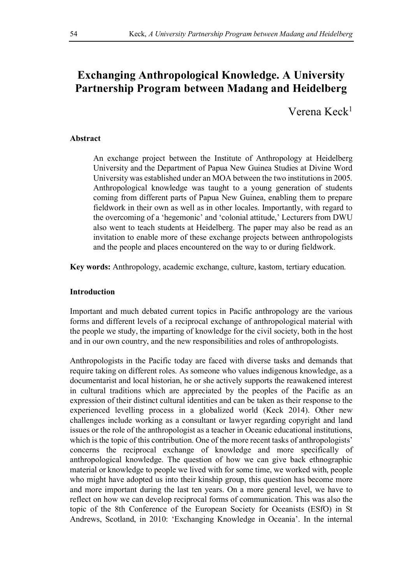# **Exchanging Anthropological Knowledge. A University Partnership Program between Madang and Heidelberg**

Verena Keck<sup>1</sup>

## **Abstract**

An exchange project between the Institute of Anthropology at Heidelberg University and the Department of Papua New Guinea Studies at Divine Word University was established under an MOA between the two institutions in 2005. Anthropological knowledge was taught to a young generation of students coming from different parts of Papua New Guinea, enabling them to prepare fieldwork in their own as well as in other locales. Importantly, with regard to the overcoming of a 'hegemonic' and 'colonial attitude,' Lecturers from DWU also went to teach students at Heidelberg. The paper may also be read as an invitation to enable more of these exchange projects between anthropologists and the people and places encountered on the way to or during fieldwork.

**Key words:** Anthropology, academic exchange, culture, kastom, tertiary education.

## **Introduction**

Important and much debated current topics in Pacific anthropology are the various forms and different levels of a reciprocal exchange of anthropological material with the people we study, the imparting of knowledge for the civil society, both in the host and in our own country, and the new responsibilities and roles of anthropologists.

Anthropologists in the Pacific today are faced with diverse tasks and demands that require taking on different roles. As someone who values indigenous knowledge, as a documentarist and local historian, he or she actively supports the reawakened interest in cultural traditions which are appreciated by the peoples of the Pacific as an expression of their distinct cultural identities and can be taken as their response to the experienced levelling process in a globalized world (Keck 2014). Other new challenges include working as a consultant or lawyer regarding copyright and land issues or the role of the anthropologist as a teacher in Oceanic educational institutions, which is the topic of this contribution. One of the more recent tasks of anthropologists' concerns the reciprocal exchange of knowledge and more specifically of anthropological knowledge. The question of how we can give back ethnographic material or knowledge to people we lived with for some time, we worked with, people who might have adopted us into their kinship group, this question has become more and more important during the last ten years. On a more general level, we have to reflect on how we can develop reciprocal forms of communication. This was also the topic of the 8th Conference of the European Society for Oceanists (ESfO) in St Andrews, Scotland, in 2010: 'Exchanging Knowledge in Oceania'. In the internal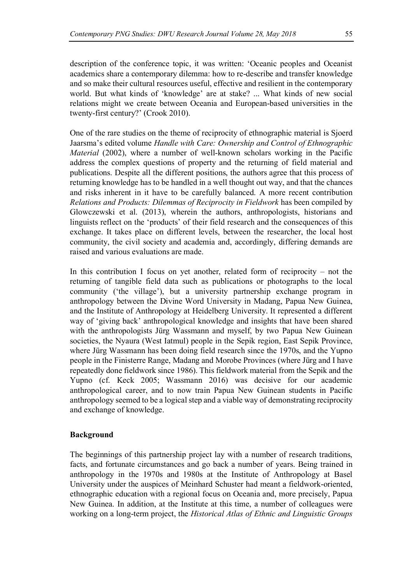description of the conference topic, it was written: 'Oceanic peoples and Oceanist academics share a contemporary dilemma: how to re-describe and transfer knowledge and so make their cultural resources useful, effective and resilient in the contemporary world. But what kinds of 'knowledge' are at stake? ... What kinds of new social relations might we create between Oceania and European-based universities in the twenty-first century?' (Crook 2010).

One of the rare studies on the theme of reciprocity of ethnographic material is Sjoerd Jaarsma's edited volume *Handle with Care: Ownership and Control of Ethnographic Material* (2002), where a number of well-known scholars working in the Pacific address the complex questions of property and the returning of field material and publications. Despite all the different positions, the authors agree that this process of returning knowledge has to be handled in a well thought out way, and that the chances and risks inherent in it have to be carefully balanced. A more recent contribution *Relations and Products: Dilemmas of Reciprocity in Fieldwork* has been compiled by Glowczewski et al. (2013), wherein the authors, anthropologists, historians and linguists reflect on the 'products' of their field research and the consequences of this exchange. It takes place on different levels, between the researcher, the local host community, the civil society and academia and, accordingly, differing demands are raised and various evaluations are made.

In this contribution I focus on yet another, related form of reciprocity – not the returning of tangible field data such as publications or photographs to the local community ('the village'), but a university partnership exchange program in anthropology between the Divine Word University in Madang, Papua New Guinea, and the Institute of Anthropology at Heidelberg University. It represented a different way of 'giving back' anthropological knowledge and insights that have been shared with the anthropologists Jürg Wassmann and myself, by two Papua New Guinean societies, the Nyaura (West Iatmul) people in the Sepik region, East Sepik Province, where Jürg Wassmann has been doing field research since the 1970s, and the Yupno people in the Finisterre Range, Madang and Morobe Provinces (where Jürg and I have repeatedly done fieldwork since 1986). This fieldwork material from the Sepik and the Yupno (cf. Keck 2005; Wassmann 2016) was decisive for our academic anthropological career, and to now train Papua New Guinean students in Pacific anthropology seemed to be a logical step and a viable way of demonstrating reciprocity and exchange of knowledge.

# **Background**

The beginnings of this partnership project lay with a number of research traditions, facts, and fortunate circumstances and go back a number of years. Being trained in anthropology in the 1970s and 1980s at the Institute of Anthropology at Basel University under the auspices of Meinhard Schuster had meant a fieldwork-oriented, ethnographic education with a regional focus on Oceania and, more precisely, Papua New Guinea. In addition, at the Institute at this time, a number of colleagues were working on a long-term project, the *Historical Atlas of Ethnic and Linguistic Groups*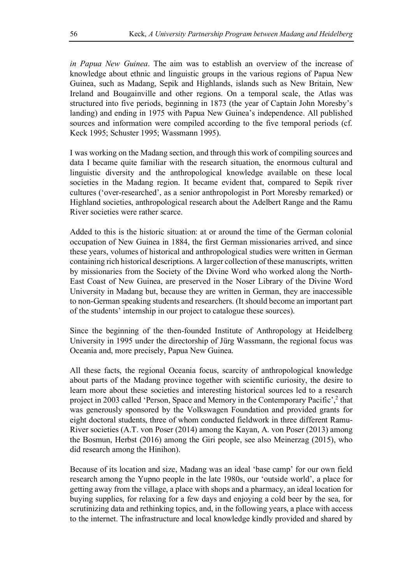*in Papua New Guinea*. The aim was to establish an overview of the increase of knowledge about ethnic and linguistic groups in the various regions of Papua New Guinea, such as Madang, Sepik and Highlands, islands such as New Britain, New Ireland and Bougainville and other regions. On a temporal scale, the Atlas was structured into five periods, beginning in 1873 (the year of Captain John Moresby's landing) and ending in 1975 with Papua New Guinea's independence. All published sources and information were compiled according to the five temporal periods (cf. Keck 1995; Schuster 1995; Wassmann 1995).

I was working on the Madang section, and through this work of compiling sources and data I became quite familiar with the research situation, the enormous cultural and linguistic diversity and the anthropological knowledge available on these local societies in the Madang region. It became evident that, compared to Sepik river cultures ('over-researched', as a senior anthropologist in Port Moresby remarked) or Highland societies, anthropological research about the Adelbert Range and the Ramu River societies were rather scarce.

Added to this is the historic situation: at or around the time of the German colonial occupation of New Guinea in 1884, the first German missionaries arrived, and since these years, volumes of historical and anthropological studies were written in German containing rich historical descriptions. A larger collection of these manuscripts, written by missionaries from the Society of the Divine Word who worked along the North-East Coast of New Guinea, are preserved in the Noser Library of the Divine Word University in Madang but, because they are written in German, they are inaccessible to non-German speaking students and researchers. (It should become an important part of the students' internship in our project to catalogue these sources).

Since the beginning of the then-founded Institute of Anthropology at Heidelberg University in 1995 under the directorship of Jürg Wassmann, the regional focus was Oceania and, more precisely, Papua New Guinea.

All these facts, the regional Oceania focus, scarcity of anthropological knowledge about parts of the Madang province together with scientific curiosity, the desire to learn more about these societies and interesting historical sources led to a research project in 2003 called 'Person, Space and Memory in the Contemporary Pacific', <sup>2</sup> that was generously sponsored by the Volkswagen Foundation and provided grants for eight doctoral students, three of whom conducted fieldwork in three different Ramu-River societies (A.T. von Poser (2014) among the Kayan, A. von Poser (2013) among the Bosmun, Herbst (2016) among the Giri people, see also Meinerzag (2015), who did research among the Hinihon).

Because of its location and size, Madang was an ideal 'base camp' for our own field research among the Yupno people in the late 1980s, our 'outside world', a place for getting away from the village, a place with shops and a pharmacy, an ideal location for buying supplies, for relaxing for a few days and enjoying a cold beer by the sea, for scrutinizing data and rethinking topics, and, in the following years, a place with access to the internet. The infrastructure and local knowledge kindly provided and shared by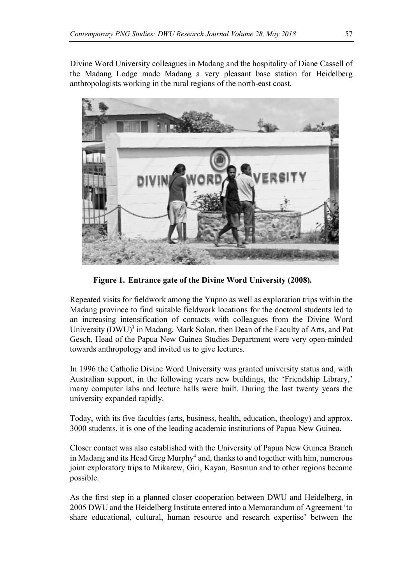Divine Word University colleagues in Madang and the hospitality of Diane Cassell of the Madang Lodge made Madang a very pleasant base station for Heidelberg anthropologists working in the rural regions of the north-east coast.



**Figure 1. Entrance gate of the Divine Word University (2008).**

Repeated visits for fieldwork among the Yupno as well as exploration trips within the Madang province to find suitable fieldwork locations for the doctoral students led to an increasing intensification of contacts with colleagues from the Divine Word University  $(DWU)^3$  in Madang. Mark Solon, then Dean of the Faculty of Arts, and Pat Gesch, Head of the Papua New Guinea Studies Department were very open-minded towards anthropology and invited us to give lectures.

In 1996 the Catholic Divine Word University was granted university status and, with Australian support, in the following years new buildings, the 'Friendship Library,' many computer labs and lecture halls were built. During the last twenty years the university expanded rapidly.

Today, with its five faculties (arts, business, health, education, theology) and approx. 3000 students, it is one of the leading academic institutions of Papua New Guinea.

Closer contact was also established with the University of Papua New Guinea Branch in Madang and its Head Greg Murphy<sup>4</sup> and, thanks to and together with him, numerous joint exploratory trips to Mikarew, Giri, Kayan, Bosmun and to other regions became possible.

As the first step in a planned closer cooperation between DWU and Heidelberg, in 2005 DWU and the Heidelberg Institute entered into a Memorandum of Agreement 'to share educational, cultural, human resource and research expertise' between the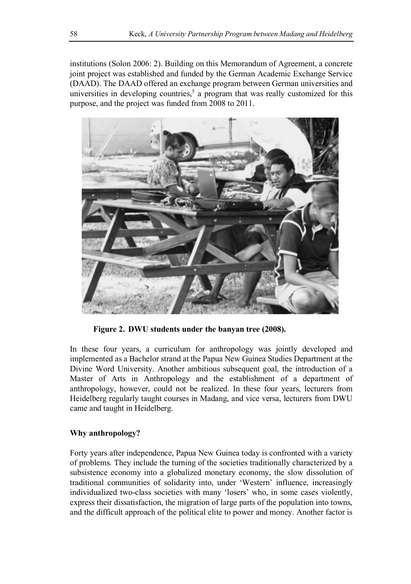institutions (Solon 2006: 2). Building on this Memorandum of Agreement, a concrete joint project was established and funded by the German Academic Exchange Service (DAAD). The DAAD offered an exchange program between German universities and universities in developing countries,<sup>5</sup> a program that was really customized for this purpose, and the project was funded from 2008 to 2011.



**Figure 2. DWU students under the banyan tree (2008).**

In these four years, a curriculum for anthropology was jointly developed and implemented as a Bachelor strand at the Papua New Guinea Studies Department at the Divine Word University. Another ambitious subsequent goal, the introduction of a Master of Arts in Anthropology and the establishment of a department of anthropology, however, could not be realized. In these four years, lecturers from Heidelberg regularly taught courses in Madang, and vice versa, lecturers from DWU came and taught in Heidelberg.

# **Why anthropology?**

Forty years after independence, Papua New Guinea today is confronted with a variety of problems. They include the turning of the societies traditionally characterized by a subsistence economy into a globalized monetary economy, the slow dissolution of traditional communities of solidarity into, under 'Western' influence, increasingly individualized two-class societies with many 'losers' who, in some cases violently, express their dissatisfaction, the migration of large parts of the population into towns, and the difficult approach of the political elite to power and money. Another factor is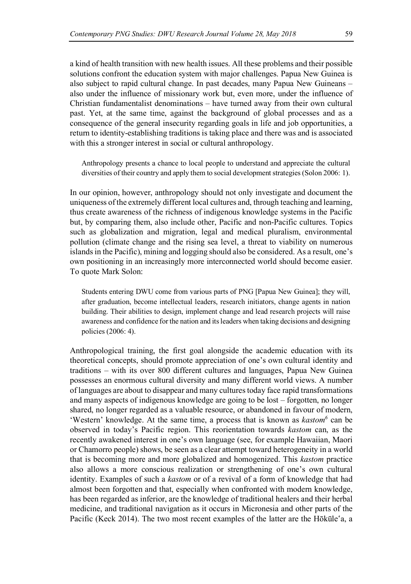a kind of health transition with new health issues. All these problems and their possible solutions confront the education system with major challenges. Papua New Guinea is also subject to rapid cultural change. In past decades, many Papua New Guineans – also under the influence of missionary work but, even more, under the influence of Christian fundamentalist denominations – have turned away from their own cultural past. Yet, at the same time, against the background of global processes and as a consequence of the general insecurity regarding goals in life and job opportunities, a return to identity-establishing traditions is taking place and there was and is associated with this a stronger interest in social or cultural anthropology.

Anthropology presents a chance to local people to understand and appreciate the cultural diversities of their country and apply them to social development strategies (Solon 2006: 1).

In our opinion, however, anthropology should not only investigate and document the uniqueness of the extremely different local cultures and, through teaching and learning, thus create awareness of the richness of indigenous knowledge systems in the Pacific but, by comparing them, also include other, Pacific and non-Pacific cultures. Topics such as globalization and migration, legal and medical pluralism, environmental pollution (climate change and the rising sea level, a threat to viability on numerous islands in the Pacific), mining and logging should also be considered. As a result, one's own positioning in an increasingly more interconnected world should become easier. To quote Mark Solon:

Students entering DWU come from various parts of PNG [Papua New Guinea]; they will, after graduation, become intellectual leaders, research initiators, change agents in nation building. Their abilities to design, implement change and lead research projects will raise awareness and confidence for the nation and its leaders when taking decisions and designing policies (2006: 4).

Anthropological training, the first goal alongside the academic education with its theoretical concepts, should promote appreciation of one's own cultural identity and traditions – with its over 800 different cultures and languages, Papua New Guinea possesses an enormous cultural diversity and many different world views. A number of languages are about to disappear and many cultures today face rapid transformations and many aspects of indigenous knowledge are going to be lost – forgotten, no longer shared, no longer regarded as a valuable resource, or abandoned in favour of modern, 'Western' knowledge. At the same time, a process that is known as *kastom6* can be observed in today's Pacific region. This reorientation towards *kastom* can, as the recently awakened interest in one's own language (see, for example Hawaiian, Maori or Chamorro people) shows, be seen as a clear attempt toward heterogeneity in a world that is becoming more and more globalized and homogenized. This *kastom* practice also allows a more conscious realization or strengthening of one's own cultural identity. Examples of such a *kastom* or of a revival of a form of knowledge that had almost been forgotten and that, especially when confronted with modern knowledge, has been regarded as inferior, are the knowledge of traditional healers and their herbal medicine, and traditional navigation as it occurs in Micronesia and other parts of the Pacific (Keck 2014). The two most recent examples of the latter are the Hōkūle'a, a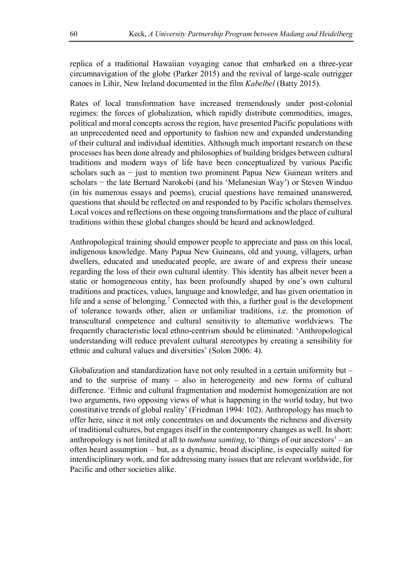replica of a traditional Hawaiian voyaging canoe that embarked on a three-year circumnavigation of the globe (Parker 2015) and the revival of large-scale outrigger canoes in Lihir, New Ireland documented in the film *Kabelbel* (Batty 2015).

Rates of local transformation have increased tremendously under post-colonial regimes: the forces of globalization, which rapidly distribute commodities, images, political and moral concepts across the region, have presented Pacific populations with an unprecedented need and opportunity to fashion new and expanded understanding of their cultural and individual identities. Although much important research on these processes has been done already and philosophies of building bridges between cultural traditions and modern ways of life have been conceptualized by various Pacific scholars such as − just to mention two prominent Papua New Guinean writers and scholars − the late Bernard Narokobi (and his 'Melanesian Way') or Steven Winduo (in his numerous essays and poems), crucial questions have remained unanswered, questions that should be reflected on and responded to by Pacific scholars themselves. Local voices and reflections on these ongoing transformations and the place of cultural traditions within these global changes should be heard and acknowledged.

Anthropological training should empower people to appreciate and pass on this local, indigenous knowledge. Many Papua New Guineans, old and young, villagers, urban dwellers, educated and uneducated people, are aware of and express their unease regarding the loss of their own cultural identity. This identity has albeit never been a static or homogeneous entity, has been profoundly shaped by one's own cultural traditions and practices, values, language and knowledge, and has given orientation in life and a sense of belonging.<sup>7</sup> Connected with this, a further goal is the development of tolerance towards other, alien or unfamiliar traditions, i.e. the promotion of transcultural competence and cultural sensitivity to alternative worldviews. The frequently characteristic local ethno-centrism should be eliminated: 'Anthropological understanding will reduce prevalent cultural stereotypes by creating a sensibility for ethnic and cultural values and diversities' (Solon 2006: 4).

Globalization and standardization have not only resulted in a certain uniformity but – and to the surprise of many – also in heterogeneity and new forms of cultural difference. 'Ethnic and cultural fragmentation and modernist homogenization are not two arguments, two opposing views of what is happening in the world today, but two constitutive trends of global reality' (Friedman 1994: 102). Anthropology has much to offer here, since it not only concentrates on and documents the richness and diversity of traditional cultures, but engages itself in the contemporary changes as well. In short: anthropology is not limited at all to *tumbuna samting*, to 'things of our ancestors' – an often heard assumption – but, as a dynamic, broad discipline, is especially suited for interdisciplinary work, and for addressing many issues that are relevant worldwide, for Pacific and other societies alike.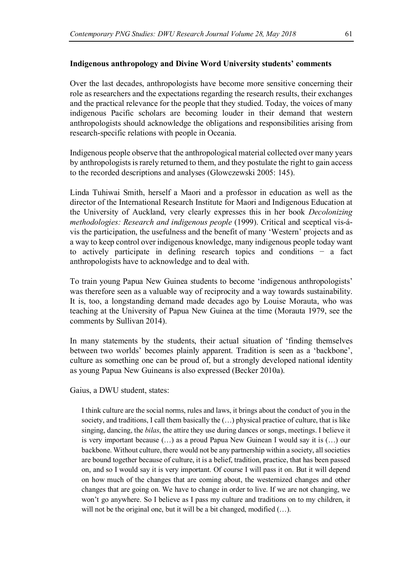### **Indigenous anthropology and Divine Word University students' comments**

Over the last decades, anthropologists have become more sensitive concerning their role as researchers and the expectations regarding the research results, their exchanges and the practical relevance for the people that they studied. Today, the voices of many indigenous Pacific scholars are becoming louder in their demand that western anthropologists should acknowledge the obligations and responsibilities arising from research-specific relations with people in Oceania.

Indigenous people observe that the anthropological material collected over many years by anthropologists is rarely returned to them, and they postulate the right to gain access to the recorded descriptions and analyses (Glowczewski 2005: 145).

Linda Tuhiwai Smith, herself a Maori and a professor in education as well as the director of the International Research Institute for Maori and Indigenous Education at the University of Auckland, very clearly expresses this in her book *Decolonizing methodologies: Research and indigenous people* (1999). Critical and sceptical vis-ávis the participation, the usefulness and the benefit of many 'Western' projects and as a way to keep control over indigenous knowledge, many indigenous people today want to actively participate in defining research topics and conditions − a fact anthropologists have to acknowledge and to deal with.

To train young Papua New Guinea students to become 'indigenous anthropologists' was therefore seen as a valuable way of reciprocity and a way towards sustainability. It is, too, a longstanding demand made decades ago by Louise Morauta, who was teaching at the University of Papua New Guinea at the time (Morauta 1979, see the comments by Sullivan 2014).

In many statements by the students, their actual situation of 'finding themselves between two worlds' becomes plainly apparent. Tradition is seen as a 'backbone', culture as something one can be proud of, but a strongly developed national identity as young Papua New Guineans is also expressed (Becker 2010a).

Gaius, a DWU student, states:

I think culture are the social norms, rules and laws, it brings about the conduct of you in the society, and traditions, I call them basically the  $(\ldots)$  physical practice of culture, that is like singing, dancing, the *bilas*, the attire they use during dances or songs, meetings. I believe it is very important because (…) as a proud Papua New Guinean I would say it is (…) our backbone. Without culture, there would not be any partnership within a society, all societies are bound together because of culture, it is a belief, tradition, practice, that has been passed on, and so I would say it is very important. Of course I will pass it on. But it will depend on how much of the changes that are coming about, the westernized changes and other changes that are going on. We have to change in order to live. If we are not changing, we won't go anywhere. So I believe as I pass my culture and traditions on to my children, it will not be the original one, but it will be a bit changed, modified (...).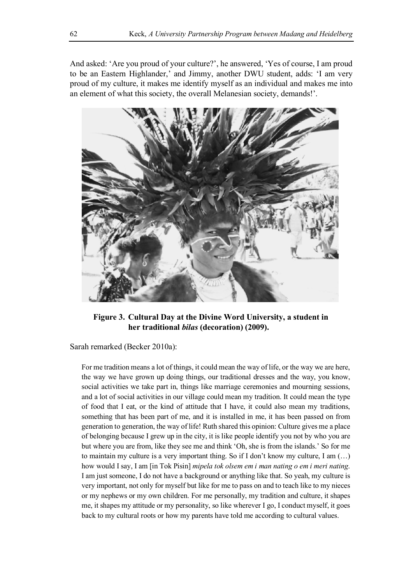And asked: 'Are you proud of your culture?', he answered, 'Yes of course, I am proud to be an Eastern Highlander,' and Jimmy, another DWU student, adds: 'I am very proud of my culture, it makes me identify myself as an individual and makes me into an element of what this society, the overall Melanesian society, demands!'.



**Figure 3. Cultural Day at the Divine Word University, a student in her traditional** *bilas* **(decoration) (2009).**

Sarah remarked (Becker 2010a):

For me tradition means a lot of things, it could mean the way of life, or the way we are here, the way we have grown up doing things, our traditional dresses and the way, you know, social activities we take part in, things like marriage ceremonies and mourning sessions, and a lot of social activities in our village could mean my tradition. It could mean the type of food that I eat, or the kind of attitude that I have, it could also mean my traditions, something that has been part of me, and it is installed in me, it has been passed on from generation to generation, the way of life! Ruth shared this opinion: Culture gives me a place of belonging because I grew up in the city, it is like people identify you not by who you are but where you are from, like they see me and think 'Oh, she is from the islands.' So for me to maintain my culture is a very important thing. So if I don't know my culture, I am (…) how would I say, I am [in Tok Pisin] *mipela tok olsem em i man nating o em i meri nating*. I am just someone, I do not have a background or anything like that. So yeah, my culture is very important, not only for myself but like for me to pass on and to teach like to my nieces or my nephews or my own children. For me personally, my tradition and culture, it shapes me, it shapes my attitude or my personality, so like wherever I go, I conduct myself, it goes back to my cultural roots or how my parents have told me according to cultural values.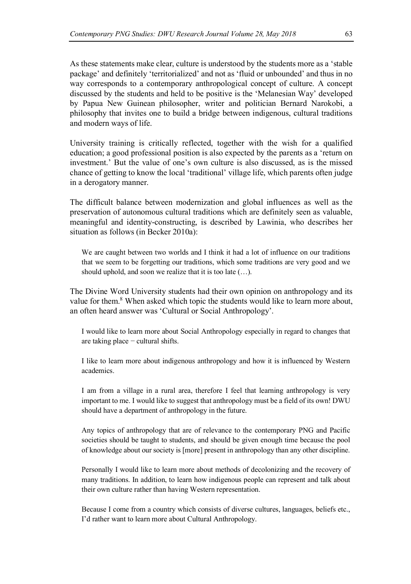As these statements make clear, culture is understood by the students more as a 'stable package' and definitely 'territorialized' and not as 'fluid or unbounded' and thus in no way corresponds to a contemporary anthropological concept of culture. A concept discussed by the students and held to be positive is the 'Melanesian Way' developed by Papua New Guinean philosopher, writer and politician Bernard Narokobi, a philosophy that invites one to build a bridge between indigenous, cultural traditions and modern ways of life.

University training is critically reflected, together with the wish for a qualified education; a good professional position is also expected by the parents as a 'return on investment.' But the value of one's own culture is also discussed, as is the missed chance of getting to know the local 'traditional' village life, which parents often judge in a derogatory manner.

The difficult balance between modernization and global influences as well as the preservation of autonomous cultural traditions which are definitely seen as valuable, meaningful and identity-constructing, is described by Lawinia, who describes her situation as follows (in Becker 2010a):

We are caught between two worlds and I think it had a lot of influence on our traditions that we seem to be forgetting our traditions, which some traditions are very good and we should uphold, and soon we realize that it is too late (…).

The Divine Word University students had their own opinion on anthropology and its value for them.<sup>8</sup> When asked which topic the students would like to learn more about, an often heard answer was 'Cultural or Social Anthropology'.

I would like to learn more about Social Anthropology especially in regard to changes that are taking place − cultural shifts.

I like to learn more about indigenous anthropology and how it is influenced by Western academics.

I am from a village in a rural area, therefore I feel that learning anthropology is very important to me. I would like to suggest that anthropology must be a field of its own! DWU should have a department of anthropology in the future.

Any topics of anthropology that are of relevance to the contemporary PNG and Pacific societies should be taught to students, and should be given enough time because the pool of knowledge about our society is [more] present in anthropology than any other discipline.

Personally I would like to learn more about methods of decolonizing and the recovery of many traditions. In addition, to learn how indigenous people can represent and talk about their own culture rather than having Western representation.

Because I come from a country which consists of diverse cultures, languages, beliefs etc., I'd rather want to learn more about Cultural Anthropology.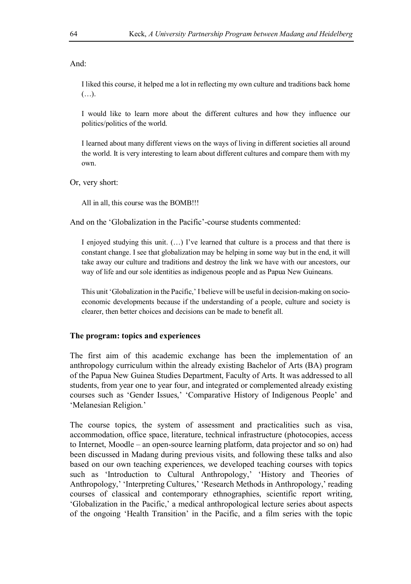And:

I liked this course, it helped me a lot in reflecting my own culture and traditions back home  $(\ldots).$ 

I would like to learn more about the different cultures and how they influence our politics/politics of the world.

I learned about many different views on the ways of living in different societies all around the world. It is very interesting to learn about different cultures and compare them with my own.

Or, very short:

All in all, this course was the BOMB!!!

And on the 'Globalization in the Pacific'-course students commented:

I enjoyed studying this unit. (…) I've learned that culture is a process and that there is constant change. I see that globalization may be helping in some way but in the end, it will take away our culture and traditions and destroy the link we have with our ancestors, our way of life and our sole identities as indigenous people and as Papua New Guineans.

This unit 'Globalization in the Pacific,' I believe will be useful in decision-making on socioeconomic developments because if the understanding of a people, culture and society is clearer, then better choices and decisions can be made to benefit all.

### **The program: topics and experiences**

The first aim of this academic exchange has been the implementation of an anthropology curriculum within the already existing Bachelor of Arts (BA) program of the Papua New Guinea Studies Department, Faculty of Arts. It was addressed to all students, from year one to year four, and integrated or complemented already existing courses such as 'Gender Issues,' 'Comparative History of Indigenous People' and 'Melanesian Religion.'

The course topics, the system of assessment and practicalities such as visa, accommodation, office space, literature, technical infrastructure (photocopies, access to Internet, Moodle – an open-source learning platform, data projector and so on) had been discussed in Madang during previous visits, and following these talks and also based on our own teaching experiences, we developed teaching courses with topics such as 'Introduction to Cultural Anthropology,' 'History and Theories of Anthropology,' 'Interpreting Cultures,' 'Research Methods in Anthropology,' reading courses of classical and contemporary ethnographies, scientific report writing, 'Globalization in the Pacific,' a medical anthropological lecture series about aspects of the ongoing 'Health Transition' in the Pacific, and a film series with the topic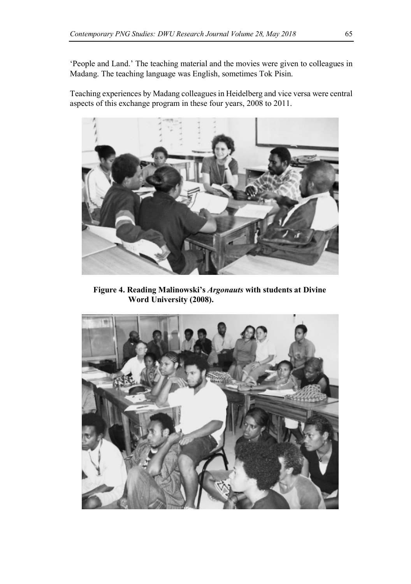'People and Land.' The teaching material and the movies were given to colleagues in Madang. The teaching language was English, sometimes Tok Pisin.

Teaching experiences by Madang colleagues in Heidelberg and vice versa were central aspects of this exchange program in these four years, 2008 to 2011.



**Figure 4. Reading Malinowski's** *Argonauts* **with students at Divine Word University (2008).**

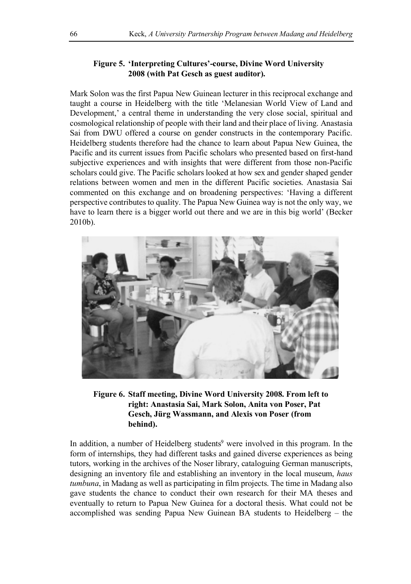# **Figure 5. 'Interpreting Cultures'-course, Divine Word University 2008 (with Pat Gesch as guest auditor).**

Mark Solon was the first Papua New Guinean lecturer in this reciprocal exchange and taught a course in Heidelberg with the title 'Melanesian World View of Land and Development,' a central theme in understanding the very close social, spiritual and cosmological relationship of people with their land and their place of living. Anastasia Sai from DWU offered a course on gender constructs in the contemporary Pacific. Heidelberg students therefore had the chance to learn about Papua New Guinea, the Pacific and its current issues from Pacific scholars who presented based on first-hand subjective experiences and with insights that were different from those non-Pacific scholars could give. The Pacific scholars looked at how sex and gender shaped gender relations between women and men in the different Pacific societies. Anastasia Sai commented on this exchange and on broadening perspectives: 'Having a different perspective contributes to quality. The Papua New Guinea way is not the only way, we have to learn there is a bigger world out there and we are in this big world' (Becker 2010b).



# **Figure 6. Staff meeting, Divine Word University 2008. From left to right: Anastasia Sai, Mark Solon, Anita von Poser, Pat Gesch, Jürg Wassmann, and Alexis von Poser (from behind).**

In addition, a number of Heidelberg students<sup>9</sup> were involved in this program. In the form of internships, they had different tasks and gained diverse experiences as being tutors, working in the archives of the Noser library, cataloguing German manuscripts, designing an inventory file and establishing an inventory in the local museum, *haus tumbuna*, in Madang as well as participating in film projects. The time in Madang also gave students the chance to conduct their own research for their MA theses and eventually to return to Papua New Guinea for a doctoral thesis. What could not be accomplished was sending Papua New Guinean BA students to Heidelberg – the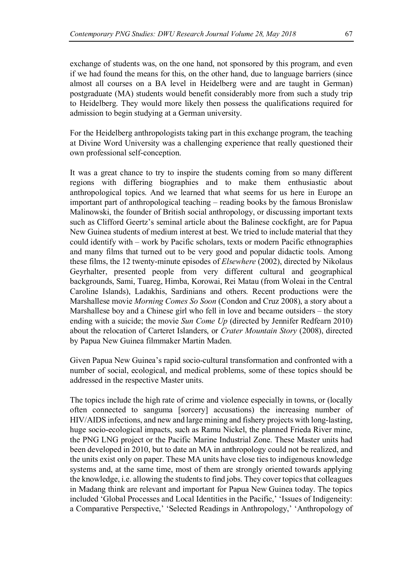exchange of students was, on the one hand, not sponsored by this program, and even if we had found the means for this, on the other hand, due to language barriers (since almost all courses on a BA level in Heidelberg were and are taught in German) postgraduate (MA) students would benefit considerably more from such a study trip to Heidelberg. They would more likely then possess the qualifications required for admission to begin studying at a German university.

For the Heidelberg anthropologists taking part in this exchange program, the teaching at Divine Word University was a challenging experience that really questioned their own professional self-conception.

It was a great chance to try to inspire the students coming from so many different regions with differing biographies and to make them enthusiastic about anthropological topics. And we learned that what seems for us here in Europe an important part of anthropological teaching – reading books by the famous Bronislaw Malinowski, the founder of British social anthropology, or discussing important texts such as Clifford Geertz's seminal article about the Balinese cockfight, are for Papua New Guinea students of medium interest at best. We tried to include material that they could identify with – work by Pacific scholars, texts or modern Pacific ethnographies and many films that turned out to be very good and popular didactic tools. Among these films, the 12 twenty-minute episodes of *Elsewhere* (2002), directed by Nikolaus Geyrhalter, presented people from very different cultural and geographical backgrounds, Sami, Tuareg, Himba, Korowai, Rei Matau (from Woleai in the Central Caroline Islands), Ladakhis, Sardinians and others. Recent productions were the Marshallese movie *Morning Comes So Soon* (Condon and Cruz 2008), a story about a Marshallese boy and a Chinese girl who fell in love and became outsiders – the story ending with a suicide; the movie *Sun Come Up* (directed by Jennifer Redfearn 2010) about the relocation of Carteret Islanders, or *Crater Mountain Story* (2008), directed by Papua New Guinea filmmaker Martin Maden.

Given Papua New Guinea's rapid socio-cultural transformation and confronted with a number of social, ecological, and medical problems, some of these topics should be addressed in the respective Master units.

The topics include the high rate of crime and violence especially in towns, or (locally often connected to sanguma [sorcery] accusations) the increasing number of HIV/AIDS infections, and new and large mining and fishery projects with long-lasting, huge socio-ecological impacts, such as Ramu Nickel, the planned Frieda River mine, the PNG LNG project or the Pacific Marine Industrial Zone. These Master units had been developed in 2010, but to date an MA in anthropology could not be realized, and the units exist only on paper. These MA units have close ties to indigenous knowledge systems and, at the same time, most of them are strongly oriented towards applying the knowledge, i.e. allowing the students to find jobs. They cover topics that colleagues in Madang think are relevant and important for Papua New Guinea today. The topics included 'Global Processes and Local Identities in the Pacific,' 'Issues of Indigeneity: a Comparative Perspective,' 'Selected Readings in Anthropology,' 'Anthropology of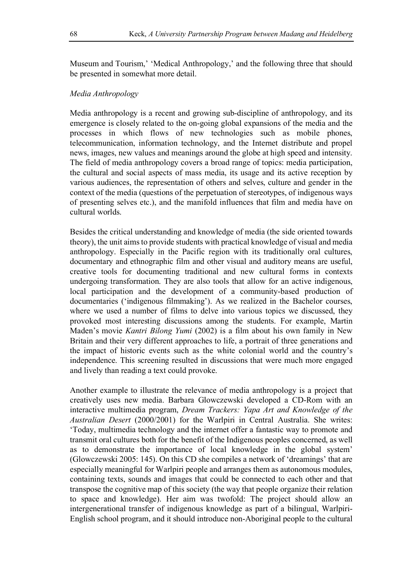Museum and Tourism,' 'Medical Anthropology,' and the following three that should be presented in somewhat more detail.

# *Media Anthropology*

Media anthropology is a recent and growing sub-discipline of anthropology, and its emergence is closely related to the on-going global expansions of the media and the processes in which flows of new technologies such as mobile phones, telecommunication, information technology, and the Internet distribute and propel news, images, new values and meanings around the globe at high speed and intensity. The field of media anthropology covers a broad range of topics: media participation, the cultural and social aspects of mass media, its usage and its active reception by various audiences, the representation of others and selves, culture and gender in the context of the media (questions of the perpetuation of stereotypes, of indigenous ways of presenting selves etc.), and the manifold influences that film and media have on cultural worlds.

Besides the critical understanding and knowledge of media (the side oriented towards theory), the unit aims to provide students with practical knowledge of visual and media anthropology. Especially in the Pacific region with its traditionally oral cultures, documentary and ethnographic film and other visual and auditory means are useful, creative tools for documenting traditional and new cultural forms in contexts undergoing transformation. They are also tools that allow for an active indigenous, local participation and the development of a community-based production of documentaries ('indigenous filmmaking'). As we realized in the Bachelor courses, where we used a number of films to delve into various topics we discussed, they provoked most interesting discussions among the students. For example, Martin Maden's movie *Kantri Bilong Yumi* (2002) is a film about his own family in New Britain and their very different approaches to life, a portrait of three generations and the impact of historic events such as the white colonial world and the country's independence. This screening resulted in discussions that were much more engaged and lively than reading a text could provoke.

Another example to illustrate the relevance of media anthropology is a project that creatively uses new media. Barbara Glowczewski developed a CD-Rom with an interactive multimedia program, *Dream Trackers: Yapa Art and Knowledge of the Australian Desert* (2000/2001) for the Warlpiri in Central Australia. She writes: 'Today, multimedia technology and the internet offer a fantastic way to promote and transmit oral cultures both for the benefit of the Indigenous peoples concerned, as well as to demonstrate the importance of local knowledge in the global system' (Glowczewski 2005: 145). On this CD she compiles a network of 'dreamings' that are especially meaningful for Warlpiri people and arranges them as autonomous modules, containing texts, sounds and images that could be connected to each other and that transpose the cognitive map of this society (the way that people organize their relation to space and knowledge). Her aim was twofold: The project should allow an intergenerational transfer of indigenous knowledge as part of a bilingual, Warlpiri-English school program, and it should introduce non-Aboriginal people to the cultural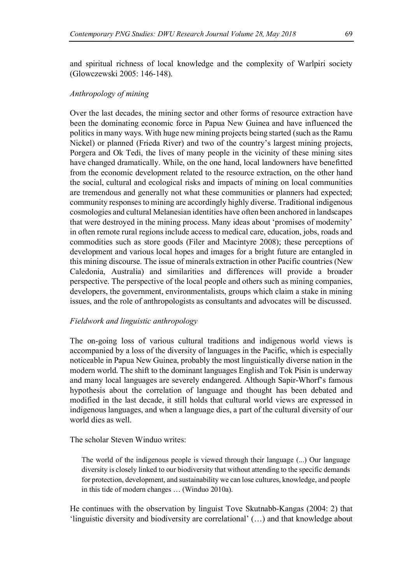and spiritual richness of local knowledge and the complexity of Warlpiri society (Glowczewski 2005: 146-148).

# *Anthropology of mining*

Over the last decades, the mining sector and other forms of resource extraction have been the dominating economic force in Papua New Guinea and have influenced the politics in many ways. With huge new mining projects being started (such as the Ramu Nickel) or planned (Frieda River) and two of the country's largest mining projects, Porgera and Ok Tedi, the lives of many people in the vicinity of these mining sites have changed dramatically. While, on the one hand, local landowners have benefitted from the economic development related to the resource extraction, on the other hand the social, cultural and ecological risks and impacts of mining on local communities are tremendous and generally not what these communities or planners had expected; community responses to mining are accordingly highly diverse. Traditional indigenous cosmologies and cultural Melanesian identities have often been anchored in landscapes that were destroyed in the mining process. Many ideas about 'promises of modernity' in often remote rural regions include access to medical care, education, jobs, roads and commodities such as store goods (Filer and Macintyre 2008); these perceptions of development and various local hopes and images for a bright future are entangled in this mining discourse. The issue of minerals extraction in other Pacific countries (New Caledonia, Australia) and similarities and differences will provide a broader perspective. The perspective of the local people and others such as mining companies, developers, the government, environmentalists, groups which claim a stake in mining issues, and the role of anthropologists as consultants and advocates will be discussed.

#### *Fieldwork and linguistic anthropology*

The on-going loss of various cultural traditions and indigenous world views is accompanied by a loss of the diversity of languages in the Pacific, which is especially noticeable in Papua New Guinea, probably the most linguistically diverse nation in the modern world. The shift to the dominant languages English and Tok Pisin is underway and many local languages are severely endangered. Although Sapir-Whorf's famous hypothesis about the correlation of language and thought has been debated and modified in the last decade, it still holds that cultural world views are expressed in indigenous languages, and when a language dies, a part of the cultural diversity of our world dies as well.

The scholar Steven Winduo writes:

The world of the indigenous people is viewed through their language (...) Our language diversity is closely linked to our biodiversity that without attending to the specific demands for protection, development, and sustainability we can lose cultures, knowledge, and people in this tide of modern changes … (Winduo 2010a).

He continues with the observation by linguist Tove Skutnabb-Kangas (2004: 2) that 'linguistic diversity and biodiversity are correlational' (…) and that knowledge about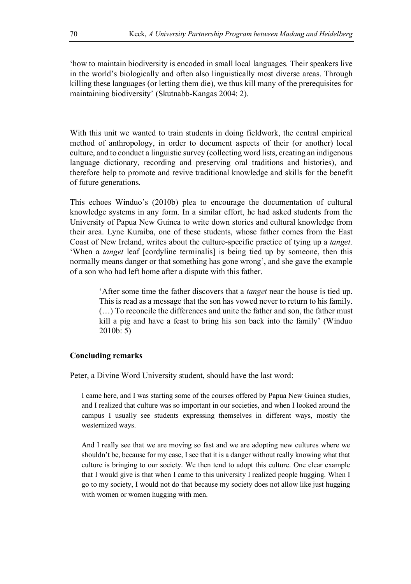'how to maintain biodiversity is encoded in small local languages. Their speakers live in the world's biologically and often also linguistically most diverse areas. Through killing these languages (or letting them die), we thus kill many of the prerequisites for maintaining biodiversity' (Skutnabb-Kangas 2004: 2).

With this unit we wanted to train students in doing fieldwork, the central empirical method of anthropology, in order to document aspects of their (or another) local culture, and to conduct a linguistic survey (collecting word lists, creating an indigenous language dictionary, recording and preserving oral traditions and histories), and therefore help to promote and revive traditional knowledge and skills for the benefit of future generations.

This echoes Winduo's (2010b) plea to encourage the documentation of cultural knowledge systems in any form. In a similar effort, he had asked students from the University of Papua New Guinea to write down stories and cultural knowledge from their area. Lyne Kuraiba, one of these students, whose father comes from the East Coast of New Ireland, writes about the culture-specific practice of tying up a *tanget*. 'When a *tanget* leaf [cordyline terminalis] is being tied up by someone, then this normally means danger or that something has gone wrong', and she gave the example of a son who had left home after a dispute with this father.

> 'After some time the father discovers that a *tanget* near the house is tied up. This is read as a message that the son has vowed never to return to his family. (…) To reconcile the differences and unite the father and son, the father must kill a pig and have a feast to bring his son back into the family' (Winduo 2010b: 5)

# **Concluding remarks**

Peter, a Divine Word University student, should have the last word:

I came here, and I was starting some of the courses offered by Papua New Guinea studies, and I realized that culture was so important in our societies, and when I looked around the campus I usually see students expressing themselves in different ways, mostly the westernized ways.

And I really see that we are moving so fast and we are adopting new cultures where we shouldn't be, because for my case, I see that it is a danger without really knowing what that culture is bringing to our society. We then tend to adopt this culture. One clear example that I would give is that when I came to this university I realized people hugging. When I go to my society, I would not do that because my society does not allow like just hugging with women or women hugging with men.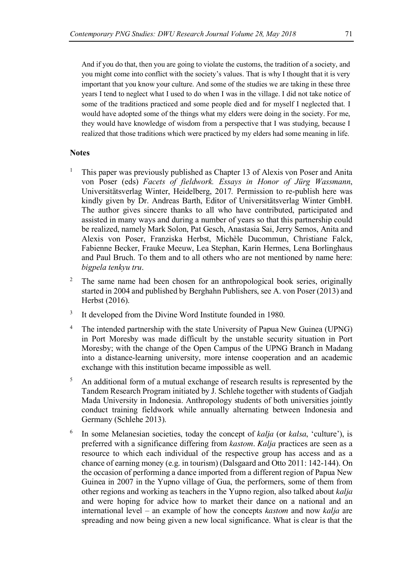And if you do that, then you are going to violate the customs, the tradition of a society, and you might come into conflict with the society's values. That is why I thought that it is very important that you know your culture. And some of the studies we are taking in these three years I tend to neglect what I used to do when I was in the village. I did not take notice of some of the traditions practiced and some people died and for myself I neglected that. I would have adopted some of the things what my elders were doing in the society. For me, they would have knowledge of wisdom from a perspective that I was studying, because I realized that those traditions which were practiced by my elders had some meaning in life.

#### **Notes**

- <sup>1</sup> This paper was previously published as Chapter 13 of Alexis von Poser and Anita von Poser (eds) *Facets of fieldwork. Essays in Honor of Jürg Wassmann*, Universitätsverlag Winter, Heidelberg, 2017*.* Permission to re-publish here was kindly given by Dr. Andreas Barth, Editor of Universitätsverlag Winter GmbH. The author gives sincere thanks to all who have contributed, participated and assisted in many ways and during a number of years so that this partnership could be realized, namely Mark Solon, Pat Gesch, Anastasia Sai, Jerry Semos, Anita and Alexis von Poser, Franziska Herbst, Michèle Ducommun, Christiane Falck, Fabienne Becker, Frauke Meeuw, Lea Stephan, Karin Hermes, Lena Borlinghaus and Paul Bruch. To them and to all others who are not mentioned by name here: *bigpela tenkyu tru*.
- <sup>2</sup> The same name had been chosen for an anthropological book series, originally started in 2004 and published by Berghahn Publishers, see A. von Poser (2013) and Herbst (2016).
- <sup>3</sup> It developed from the Divine Word Institute founded in 1980.
- <sup>4</sup> The intended partnership with the state University of Papua New Guinea (UPNG) in Port Moresby was made difficult by the unstable security situation in Port Moresby; with the change of the Open Campus of the UPNG Branch in Madang into a distance-learning university, more intense cooperation and an academic exchange with this institution became impossible as well.
- <sup>5</sup> An additional form of a mutual exchange of research results is represented by the Tandem Research Program initiated by J. Schlehe together with students of Gadjah Mada University in Indonesia. Anthropology students of both universities jointly conduct training fieldwork while annually alternating between Indonesia and Germany (Schlehe 2013).
- <sup>6</sup> In some Melanesian societies, today the concept of *kalja* (or *kalsa*, 'culture'), is preferred with a significance differing from *kastom. Kalja* practices are seen as a resource to which each individual of the respective group has access and as a chance of earning money (e.g. in tourism) (Dalsgaard and Otto 2011: 142-144). On the occasion of performing a dance imported from a different region of Papua New Guinea in 2007 in the Yupno village of Gua, the performers, some of them from other regions and working as teachers in the Yupno region, also talked about *kalja*  and were hoping for advice how to market their dance on a national and an international level – an example of how the concepts *kastom* and now *kalja* are spreading and now being given a new local significance. What is clear is that the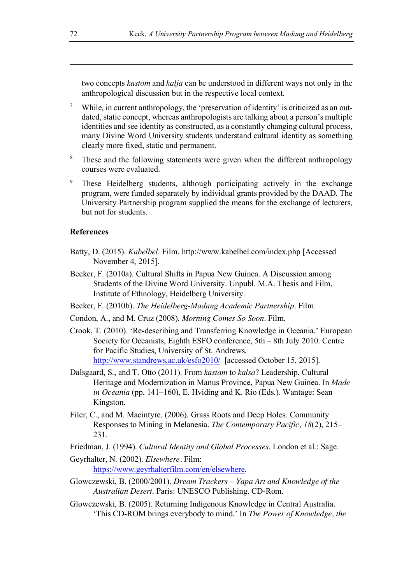two concepts *kastom* and *kalja* can be understood in different ways not only in the anthropological discussion but in the respective local context.

- <sup>7</sup> While, in current anthropology, the 'preservation of identity' is criticized as an outdated, static concept, whereas anthropologists are talking about a person's multiple identities and see identity as constructed, as a constantly changing cultural process, many Divine Word University students understand cultural identity as something clearly more fixed, static and permanent.
- <sup>8</sup> These and the following statements were given when the different anthropology courses were evaluated.
- These Heidelberg students, although participating actively in the exchange program, were funded separately by individual grants provided by the DAAD. The University Partnership program supplied the means for the exchange of lecturers, but not for students.

# **References**

- Batty, D. (2015). *Kabelbel*. Film. http://www.kabelbel.com/index.php [Accessed November 4, 2015].
- Becker, F. (2010a). Cultural Shifts in Papua New Guinea. A Discussion among Students of the Divine Word University. Unpubl. M.A. Thesis and Film, Institute of Ethnology, Heidelberg University.
- Becker, F. (2010b). *The Heidelberg-Madang Academic Partnership*. Film.
- Condon, A., and M. Cruz (2008). *Morning Comes So Soon*. Film.
- Crook, T. (2010). 'Re-describing and Transferring Knowledge in Oceania.' European Society for Oceanists, Eighth ESFO conference, 5th – 8th July 2010. Centre for Pacific Studies, University of St. Andrews. http://www.standrews.ac.uk/esfo2010/ [accessed October 15, 2015].
- Dalsgaard, S., and T. Otto (2011). From *kastam* to *kalsa*? Leadership, Cultural Heritage and Modernization in Manus Province, Papua New Guinea. In *Made in Oceania* (pp. 141–160), E. Hviding and K. Rio (Eds.). Wantage: Sean Kingston.
- Filer, C., and M. Macintyre. (2006). Grass Roots and Deep Holes. Community Responses to Mining in Melanesia. *The Contemporary Pacific*, *18*(2), 215– 231.
- Friedman, J. (1994). *Cultural Identity and Global Processes*. London et al.: Sage.
- Geyrhalter, N. (2002). *Elsewhere.* Film:

https://www.geyrhalterfilm.com/en/elsewhere.

- Glowczewski, B. (2000/2001). *Dream Trackers Yapa Art and Knowledge of the Australian Desert*. Paris: UNESCO Publishing. CD-Rom.
- Glowczewski, B. (2005). Returning Indigenous Knowledge in Central Australia. 'This CD-ROM brings everybody to mind.' In *The Power of Knowledge, the*

-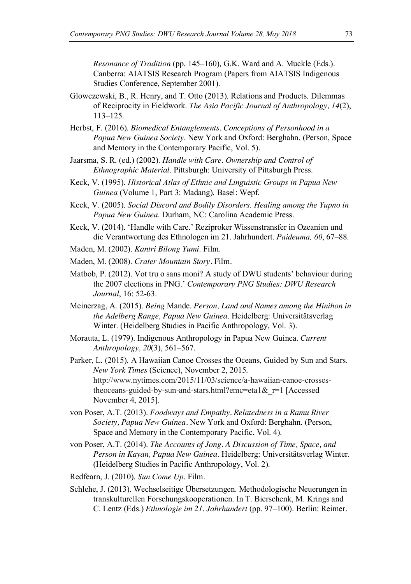*Resonance of Tradition* (pp. 145–160)*,* G.K. Ward and A. Muckle (Eds.). Canberra: AIATSIS Research Program (Papers from AIATSIS Indigenous Studies Conference, September 2001).

- Glowczewski, B., R. Henry, and T. Otto (2013). Relations and Products. Dilemmas of Reciprocity in Fieldwork. *The Asia Pacific Journal of Anthropology, 14*(2), 113–125.
- Herbst, F. (2016). *Biomedical Entanglements. Conceptions of Personhood in a Papua New Guinea Society.* New York and Oxford: Berghahn. (Person, Space and Memory in the Contemporary Pacific, Vol. 5).
- Jaarsma, S. R. (ed.) (2002). *Handle with Care. Ownership and Control of Ethnographic Material*. Pittsburgh: University of Pittsburgh Press.
- Keck, V. (1995). *Historical Atlas of Ethnic and Linguistic Groups in Papua New Guinea* (Volume 1, Part 3: Madang). Basel: Wepf.
- Keck, V. (2005). *Social Discord and Bodily Disorders. Healing among the Yupno in Papua New Guinea*. Durham, NC: Carolina Academic Press.
- Keck, V. (2014). 'Handle with Care.' Reziproker Wissenstransfer in Ozeanien und die Verantwortung des Ethnologen im 21. Jahrhundert. *Paideuma, 60*, 67–88.

Maden, M. (2002). *Kantri Bilong Yumi*. Film.

- Maden, M. (2008). *Crater Mountain Story*. Film.
- Matbob, P. (2012). Vot tru o sans moni? A study of DWU students' behaviour during the 2007 elections in PNG.' *Contemporary PNG Studies: DWU Research Journal*, 16: 52-63.
- Meinerzag, A. (2015). *Being* Mande*. Person, Land and Names among the Hinihon in the Adelberg Range, Papua New Guinea.* Heidelberg: Universitätsverlag Winter. (Heidelberg Studies in Pacific Anthropology, Vol. 3)*.*
- Morauta, L. (1979). Indigenous Anthropology in Papua New Guinea. *Current Anthropology, 20*(3), 561–567.
- Parker, L. (2015). A Hawaiian Canoe Crosses the Oceans, Guided by Sun and Stars. *New York Times* (Science), November 2, 2015. http://www.nytimes.com/2015/11/03/science/a-hawaiian-canoe-crossestheoceans-guided-by-sun-and-stars.html?emc=eta1 $\&$ r=1 [Accessed] November 4, 2015].
- von Poser, A.T. (2013). *Foodways and Empathy. Relatedness in a Ramu River Society, Papua New Guinea.* New York and Oxford: Berghahn. (Person, Space and Memory in the Contemporary Pacific, Vol. 4).
- von Poser, A.T. (2014). *The Accounts of Jong. A Discussion of Time, Space, and Person in Kayan, Papua New Guinea.* Heidelberg: Universitätsverlag Winter. (Heidelberg Studies in Pacific Anthropology, Vol. 2).
- Redfearn, J. (2010). *Sun Come Up.* Film.
- Schlehe, J. (2013). Wechselseitige Übersetzungen. Methodologische Neuerungen in transkulturellen Forschungskooperationen. In T. Bierschenk, M. Krings and C. Lentz (Eds.) *Ethnologie im 21. Jahrhundert* (pp. 97–100). Berlin: Reimer.